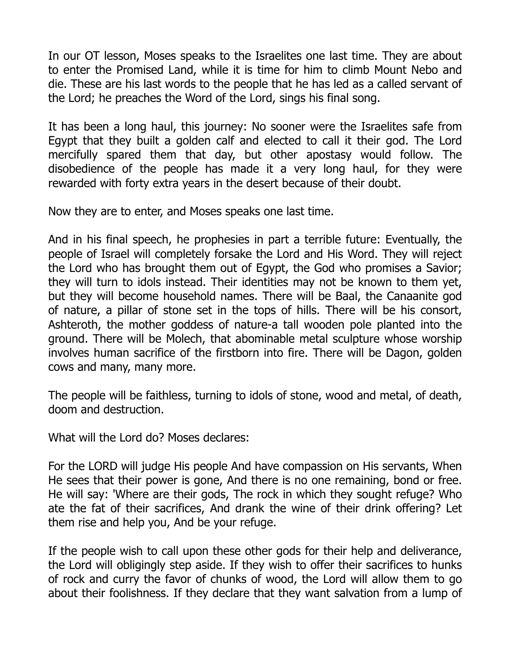In our OT lesson, Moses speaks to the Israelites one last time. They are about to enter the Promised Land, while it is time for him to climb Mount Nebo and die. These are his last words to the people that he has led as a called servant of the Lord; he preaches the Word of the Lord, sings his final song.

It has been a long haul, this journey: No sooner were the Israelites safe from Egypt that they built a golden calf and elected to call it their god. The Lord mercifully spared them that day, but other apostasy would follow. The disobedience of the people has made it a very long haul, for they were rewarded with forty extra years in the desert because of their doubt.

Now they are to enter, and Moses speaks one last time.

And in his final speech, he prophesies in part a terrible future: Eventually, the people of Israel will completely forsake the Lord and His Word. They will reject the Lord who has brought them out of Egypt, the God who promises a Savior; they will turn to idols instead. Their identities may not be known to them yet, but they will become household names. There will be Baal, the Canaanite god of nature, a pillar of stone set in the tops of hills. There will be his consort, Ashteroth, the mother goddess of nature-a tall wooden pole planted into the ground. There will be Molech, that abominable metal sculpture whose worship involves human sacrifice of the firstborn into fire. There will be Dagon, golden cows and many, many more.

The people will be faithless, turning to idols of stone, wood and metal, of death, doom and destruction.

What will the Lord do? Moses declares:

For the LORD will judge His people And have compassion on His servants, When He sees that their power is gone, And there is no one remaining, bond or free. He will say: 'Where are their gods, The rock in which they sought refuge? Who ate the fat of their sacrifices, And drank the wine of their drink offering? Let them rise and help you, And be your refuge.

If the people wish to call upon these other gods for their help and deliverance, the Lord will obligingly step aside. If they wish to offer their sacrifices to hunks of rock and curry the favor of chunks of wood, the Lord will allow them to go about their foolishness. If they declare that they want salvation from a lump of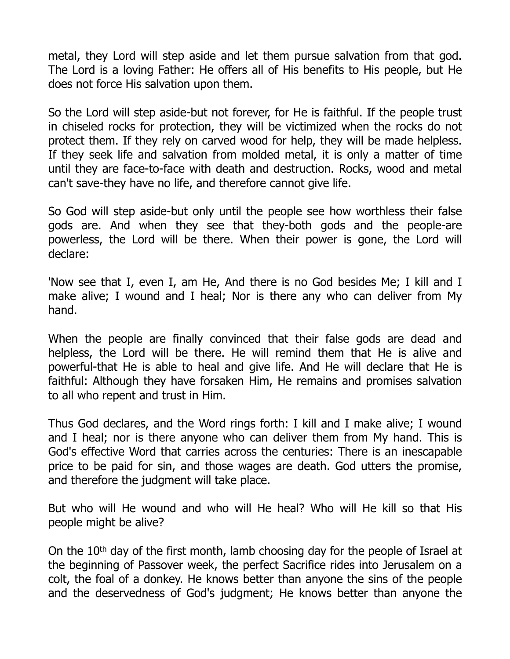metal, they Lord will step aside and let them pursue salvation from that god. The Lord is a loving Father: He offers all of His benefits to His people, but He does not force His salvation upon them.

So the Lord will step aside-but not forever, for He is faithful. If the people trust in chiseled rocks for protection, they will be victimized when the rocks do not protect them. If they rely on carved wood for help, they will be made helpless. If they seek life and salvation from molded metal, it is only a matter of time until they are face-to-face with death and destruction. Rocks, wood and metal can't save-they have no life, and therefore cannot give life.

So God will step aside-but only until the people see how worthless their false gods are. And when they see that they-both gods and the people-are powerless, the Lord will be there. When their power is gone, the Lord will declare:

'Now see that I, even I, am He, And there is no God besides Me; I kill and I make alive; I wound and I heal; Nor is there any who can deliver from My hand.

When the people are finally convinced that their false gods are dead and helpless, the Lord will be there. He will remind them that He is alive and powerful-that He is able to heal and give life. And He will declare that He is faithful: Although they have forsaken Him, He remains and promises salvation to all who repent and trust in Him.

Thus God declares, and the Word rings forth: I kill and I make alive; I wound and I heal; nor is there anyone who can deliver them from My hand. This is God's effective Word that carries across the centuries: There is an inescapable price to be paid for sin, and those wages are death. God utters the promise, and therefore the judgment will take place.

But who will He wound and who will He heal? Who will He kill so that His people might be alive?

On the 10th day of the first month, lamb choosing day for the people of Israel at the beginning of Passover week, the perfect Sacrifice rides into Jerusalem on a colt, the foal of a donkey. He knows better than anyone the sins of the people and the deservedness of God's judgment; He knows better than anyone the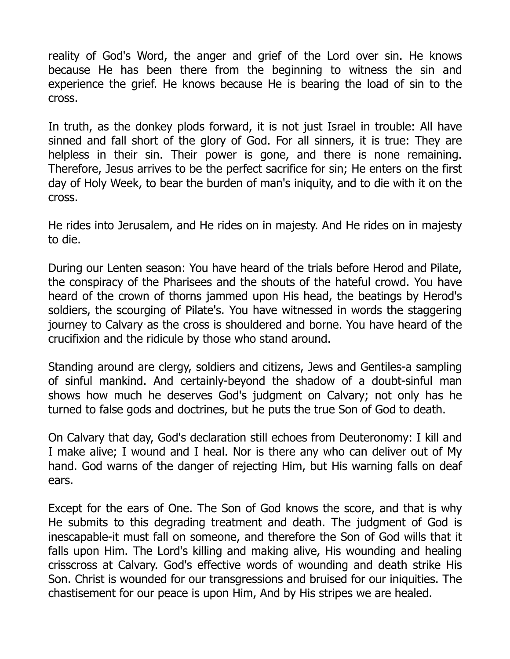reality of God's Word, the anger and grief of the Lord over sin. He knows because He has been there from the beginning to witness the sin and experience the grief. He knows because He is bearing the load of sin to the cross.

In truth, as the donkey plods forward, it is not just Israel in trouble: All have sinned and fall short of the glory of God. For all sinners, it is true: They are helpless in their sin. Their power is gone, and there is none remaining. Therefore, Jesus arrives to be the perfect sacrifice for sin; He enters on the first day of Holy Week, to bear the burden of man's iniquity, and to die with it on the cross.

He rides into Jerusalem, and He rides on in majesty. And He rides on in majesty to die.

During our Lenten season: You have heard of the trials before Herod and Pilate, the conspiracy of the Pharisees and the shouts of the hateful crowd. You have heard of the crown of thorns jammed upon His head, the beatings by Herod's soldiers, the scourging of Pilate's. You have witnessed in words the staggering journey to Calvary as the cross is shouldered and borne. You have heard of the crucifixion and the ridicule by those who stand around.

Standing around are clergy, soldiers and citizens, Jews and Gentiles-a sampling of sinful mankind. And certainly-beyond the shadow of a doubt-sinful man shows how much he deserves God's judgment on Calvary; not only has he turned to false gods and doctrines, but he puts the true Son of God to death.

On Calvary that day, God's declaration still echoes from Deuteronomy: I kill and I make alive; I wound and I heal. Nor is there any who can deliver out of My hand. God warns of the danger of rejecting Him, but His warning falls on deaf ears.

Except for the ears of One. The Son of God knows the score, and that is why He submits to this degrading treatment and death. The judgment of God is inescapable-it must fall on someone, and therefore the Son of God wills that it falls upon Him. The Lord's killing and making alive, His wounding and healing crisscross at Calvary. God's effective words of wounding and death strike His Son. Christ is wounded for our transgressions and bruised for our iniquities. The chastisement for our peace is upon Him, And by His stripes we are healed.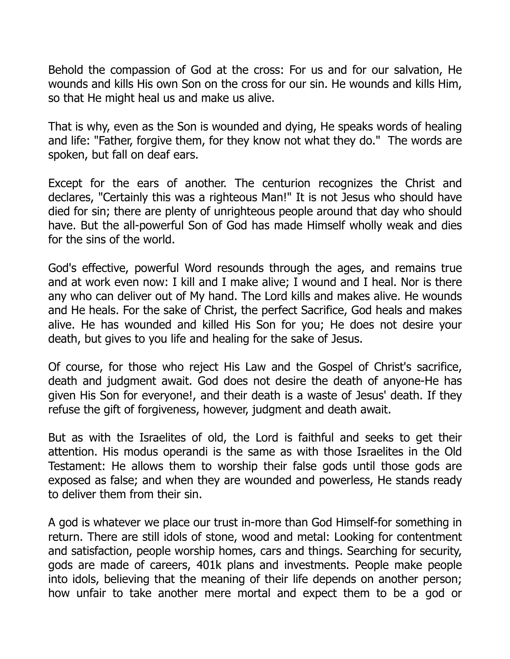Behold the compassion of God at the cross: For us and for our salvation, He wounds and kills His own Son on the cross for our sin. He wounds and kills Him, so that He might heal us and make us alive.

That is why, even as the Son is wounded and dying, He speaks words of healing and life: "Father, forgive them, for they know not what they do." The words are spoken, but fall on deaf ears.

Except for the ears of another. The centurion recognizes the Christ and declares, "Certainly this was a righteous Man!" It is not Jesus who should have died for sin; there are plenty of unrighteous people around that day who should have. But the all-powerful Son of God has made Himself wholly weak and dies for the sins of the world.

God's effective, powerful Word resounds through the ages, and remains true and at work even now: I kill and I make alive; I wound and I heal. Nor is there any who can deliver out of My hand. The Lord kills and makes alive. He wounds and He heals. For the sake of Christ, the perfect Sacrifice, God heals and makes alive. He has wounded and killed His Son for you; He does not desire your death, but gives to you life and healing for the sake of Jesus.

Of course, for those who reject His Law and the Gospel of Christ's sacrifice, death and judgment await. God does not desire the death of anyone-He has given His Son for everyone!, and their death is a waste of Jesus' death. If they refuse the gift of forgiveness, however, judgment and death await.

But as with the Israelites of old, the Lord is faithful and seeks to get their attention. His modus operandi is the same as with those Israelites in the Old Testament: He allows them to worship their false gods until those gods are exposed as false; and when they are wounded and powerless, He stands ready to deliver them from their sin.

A god is whatever we place our trust in-more than God Himself-for something in return. There are still idols of stone, wood and metal: Looking for contentment and satisfaction, people worship homes, cars and things. Searching for security, gods are made of careers, 401k plans and investments. People make people into idols, believing that the meaning of their life depends on another person; how unfair to take another mere mortal and expect them to be a god or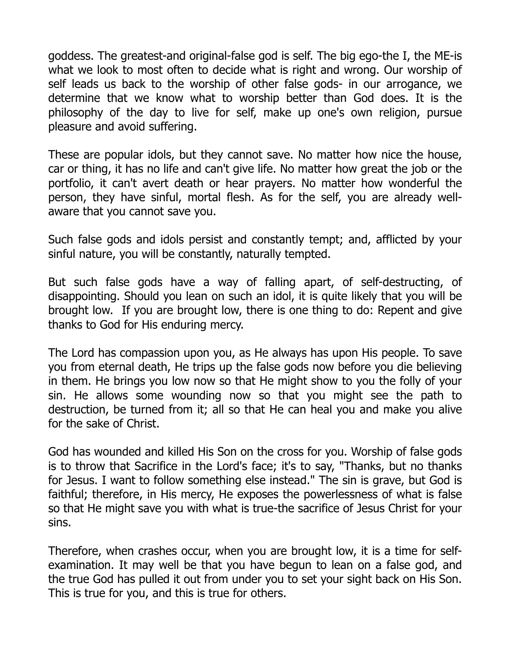goddess. The greatest-and original-false god is self. The big ego-the I, the ME-is what we look to most often to decide what is right and wrong. Our worship of self leads us back to the worship of other false gods- in our arrogance, we determine that we know what to worship better than God does. It is the philosophy of the day to live for self, make up one's own religion, pursue pleasure and avoid suffering.

These are popular idols, but they cannot save. No matter how nice the house, car or thing, it has no life and can't give life. No matter how great the job or the portfolio, it can't avert death or hear prayers. No matter how wonderful the person, they have sinful, mortal flesh. As for the self, you are already wellaware that you cannot save you.

Such false gods and idols persist and constantly tempt; and, afflicted by your sinful nature, you will be constantly, naturally tempted.

But such false gods have a way of falling apart, of self-destructing, of disappointing. Should you lean on such an idol, it is quite likely that you will be brought low. If you are brought low, there is one thing to do: Repent and give thanks to God for His enduring mercy.

The Lord has compassion upon you, as He always has upon His people. To save you from eternal death, He trips up the false gods now before you die believing in them. He brings you low now so that He might show to you the folly of your sin. He allows some wounding now so that you might see the path to destruction, be turned from it; all so that He can heal you and make you alive for the sake of Christ.

God has wounded and killed His Son on the cross for you. Worship of false gods is to throw that Sacrifice in the Lord's face; it's to say, "Thanks, but no thanks for Jesus. I want to follow something else instead." The sin is grave, but God is faithful; therefore, in His mercy, He exposes the powerlessness of what is false so that He might save you with what is true-the sacrifice of Jesus Christ for your sins.

Therefore, when crashes occur, when you are brought low, it is a time for selfexamination. It may well be that you have begun to lean on a false god, and the true God has pulled it out from under you to set your sight back on His Son. This is true for you, and this is true for others.